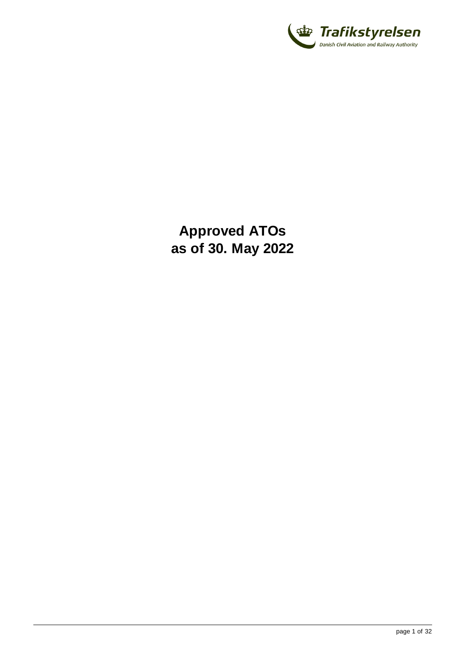

**Approved ATOs as of 30. May 2022**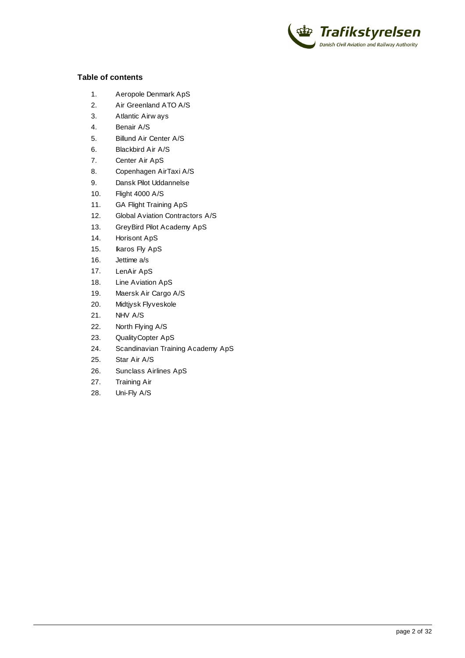

#### **Table of contents**

- 1. [Aeropole Denmark ApS](#page-2-0)
- 2. [Air Greenland ATO A/S](#page-3-0)
- 3. [Atlantic Airways](#page-4-0)
- 4. [Benair A/S](#page-5-0)
- 5. [Billund Air Center A/S](#page-6-0)
- 6. [Blackbird Air A/S](#page-8-0)
- 7. [Center Air ApS](#page-9-0)
- 8. [Copenhagen AirTaxi A/S](#page-10-0)
- 9. [Dansk Pilot Uddannelse](#page-12-0)
- 10. [Flight 4000 A/S](#page-13-0)
- 11. [GA Flight Training ApS](#page-14-0)
- 12. [Global Aviation Contractors A/S](#page-15-0)
- 13. [GreyBird Pilot Academy ApS](#page-16-0)
- 14. [Horisont ApS](#page-17-0)
- 15. [Ikaros Fly ApS](#page-18-0)
- 16. [Jettime a/s](#page-19-0)
- 17. [LenAir ApS](#page-20-0)
- 18. [Line Aviation ApS](#page-21-0)
- 19. [Maersk Air Cargo A/S](#page-22-0)
- 20. [Midtjysk Flyveskole](#page-23-0)
- 21. [NHV A/S](#page-24-0)
- 22. [North Flying A/S](#page-25-0)
- 23. [QualityCopter ApS](#page-26-0)
- 24. [Scandinavian Training Academy ApS](#page-27-0)
- 25. [Star Air A/S](#page-28-0)
- 26. [Sunclass Airlines ApS](#page-29-0)
- 27. [Training Air](#page-30-0)
- 28. [Uni-Fly A/S](#page-31-0)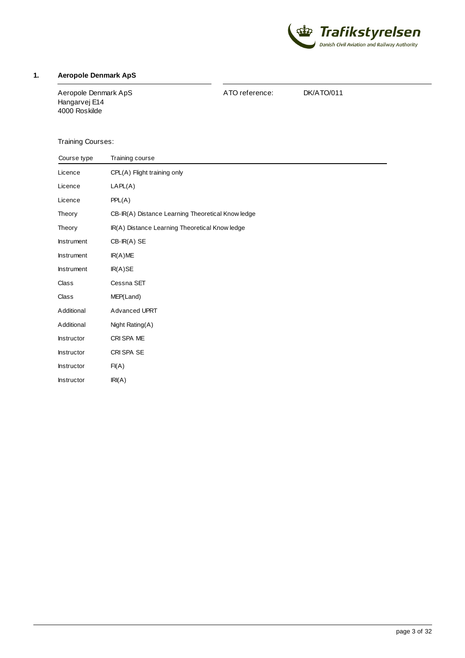

# <span id="page-2-0"></span>**1. Aeropole Denmark ApS**

Aeropole Denmark ApS Hangarvej E14 4000 Roskilde

ATO reference: DK/ATO/011

| Course type       | Training course                                   |
|-------------------|---------------------------------------------------|
| Licence           | CPL(A) Flight training only                       |
| Licence           | LAPL(A)                                           |
| Licence           | PPL(A)                                            |
| Theory            | CB-IR(A) Distance Learning Theoretical Know ledge |
| Theory            | IR(A) Distance Learning Theoretical Know ledge    |
| <b>Instrument</b> | $CB-IR(A)$ SE                                     |
| <b>Instrument</b> | IR(A)ME                                           |
| Instrument        | IR(A)SE                                           |
| Class             | Cessna SET                                        |
| Class             | MEP(Land)                                         |
| Additional        | Advanced UPRT                                     |
| Additional        | Night Rating(A)                                   |
| <b>Instructor</b> | CRI SPA ME                                        |
| <b>Instructor</b> | CRI SPA SE                                        |
| Instructor        | FI(A)                                             |
| Instructor        | IRI(A)                                            |
|                   |                                                   |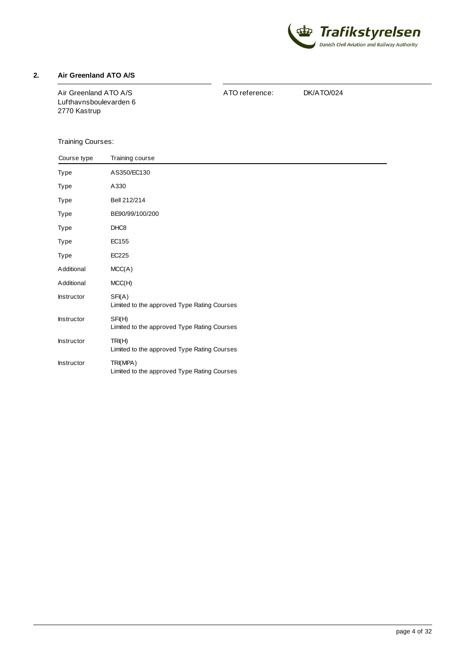

#### <span id="page-3-0"></span>**2. Air Greenland ATO A/S**

Air Greenland ATO A/S Lufthavnsboulevarden 6 2770 Kastrup

ATO reference: DK/ATO/024

| Course type       | Training course                                         |  |
|-------------------|---------------------------------------------------------|--|
| Type              | AS350/EC130                                             |  |
| Type              | A330                                                    |  |
| Type              | Bell 212/214                                            |  |
| Type              | BE90/99/100/200                                         |  |
| Type              | DHC <sub>8</sub>                                        |  |
| Type              | EC155                                                   |  |
| Type              | EC225                                                   |  |
| Additional        | MCC(A)                                                  |  |
| Additional        | MCC(H)                                                  |  |
| Instructor        | SFI(A)<br>Limited to the approved Type Rating Courses   |  |
| Instructor        | SFI(H)<br>Limited to the approved Type Rating Courses   |  |
| <b>Instructor</b> | TRI(H)<br>Limited to the approved Type Rating Courses   |  |
| Instructor        | TRI(MPA)<br>Limited to the approved Type Rating Courses |  |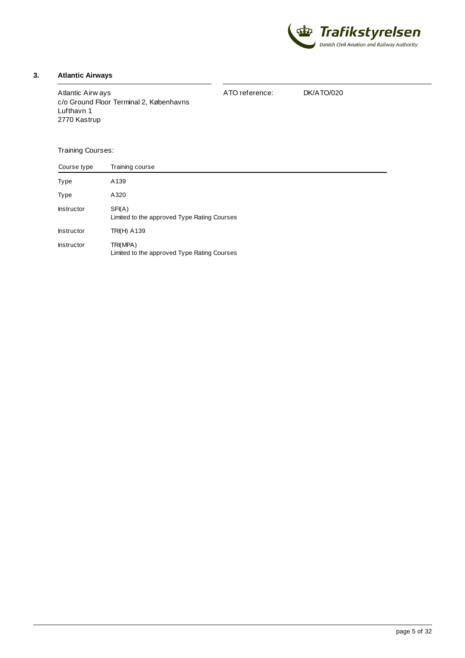

## <span id="page-4-0"></span>**3. Atlantic Airways**

| Atlantic Airw ays<br>c/o Ground Floor Terminal 2, Københavns | ATO reference: | DK/ATO/020 |
|--------------------------------------------------------------|----------------|------------|
| Lufthavn 1                                                   |                |            |
| 2770 Kastrup                                                 |                |            |

| Course type       | Training course                                         |
|-------------------|---------------------------------------------------------|
| Type              | A139                                                    |
| Type              | A320                                                    |
| <b>Instructor</b> | SFI(A)<br>Limited to the approved Type Rating Courses   |
| <b>Instructor</b> | <b>TRI(H) A139</b>                                      |
| <b>Instructor</b> | TRI(MPA)<br>Limited to the approved Type Rating Courses |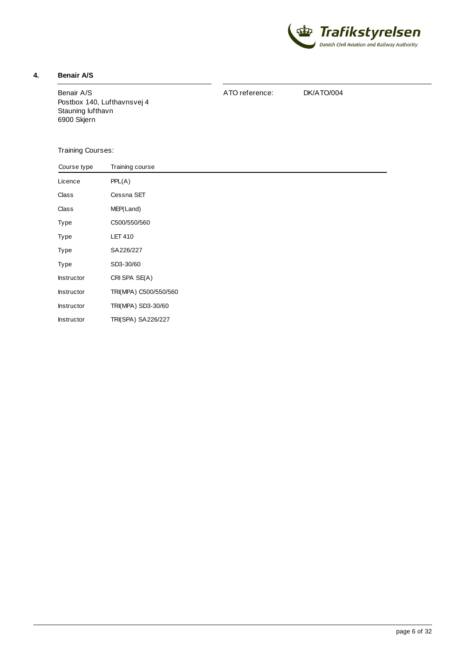

### <span id="page-5-0"></span>**4. Benair A/S**

Benair A/S Postbox 140, Lufthavnsvej 4 Stauning lufthavn 6900 Skjern

ATO reference: DK/ATO/004

| Course type | Training course       |
|-------------|-----------------------|
| Licence     | PPL(A)                |
| Class       | Cessna SET            |
| Class       | MEP(Land)             |
| Type        | C500/550/560          |
| Type        | <b>LET 410</b>        |
| Type        | SA226/227             |
| Type        | SD3-30/60             |
| Instructor  | CRI SPA SE(A)         |
| Instructor  | TRI(MPA) C500/550/560 |
| Instructor  | TRI(MPA) SD3-30/60    |
| Instructor  | TRI(SPA) SA226/227    |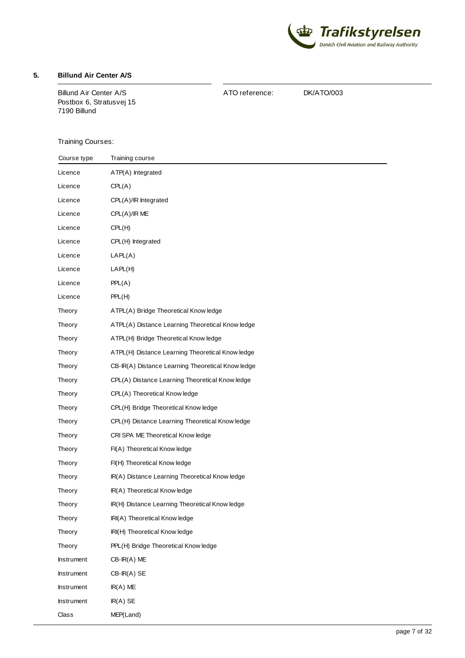

## <span id="page-6-0"></span>**5. Billund Air Center A/S**

Billund Air Center A/S Postbox 6, Stratusvej 15 7190 Billund

ATO reference: DK/ATO/003

| Course type | Training course                                   |
|-------------|---------------------------------------------------|
| Licence     | ATP(A) Integrated                                 |
| Licence     | CPL(A)                                            |
| Licence     | CPL(A)/IR Integrated                              |
| Licence     | CPL(A)/IRME                                       |
| Licence     | CPL(H)                                            |
| Licence     | CPL(H) Integrated                                 |
| Licence     | LAPL(A)                                           |
| Licence     | LAPL(H)                                           |
| Licence     | PPL(A)                                            |
| Licence     | PPL(H)                                            |
| Theory      | ATPL(A) Bridge Theoretical Know ledge             |
| Theory      | ATPL(A) Distance Learning Theoretical Know ledge  |
| Theory      | ATPL(H) Bridge Theoretical Know ledge             |
| Theory      | ATPL(H) Distance Learning Theoretical Know ledge  |
| Theory      | CB-IR(A) Distance Learning Theoretical Know ledge |
| Theory      | CPL(A) Distance Learning Theoretical Know ledge   |
| Theory      | CPL(A) Theoretical Know ledge                     |
| Theory      | CPL(H) Bridge Theoretical Know ledge              |
| Theory      | CPL(H) Distance Learning Theoretical Know ledge   |
| Theory      | CRI SPA ME Theoretical Know ledge                 |
| Theory      | FI(A) Theoretical Know ledge                      |
| Theory      | FI(H) Theoretical Know ledge                      |
| Theory      | IR(A) Distance Learning Theoretical Know ledge    |
| Theory      | IR(A) Theoretical Know ledge                      |
| Theory      | IR(H) Distance Learning Theoretical Know ledge    |
| Theory      | IRI(A) Theoretical Know ledge                     |
| Theory      | IRI(H) Theoretical Know ledge                     |
| Theory      | PPL(H) Bridge Theoretical Know ledge              |
| Instrument  | $CB-IR(A)$ ME                                     |
| Instrument  | $CB$ -IR(A) SE                                    |
| Instrument  | $IR(A)$ ME                                        |
| Instrument  | $IR(A)$ SE                                        |
| Class       | MEP(Land)                                         |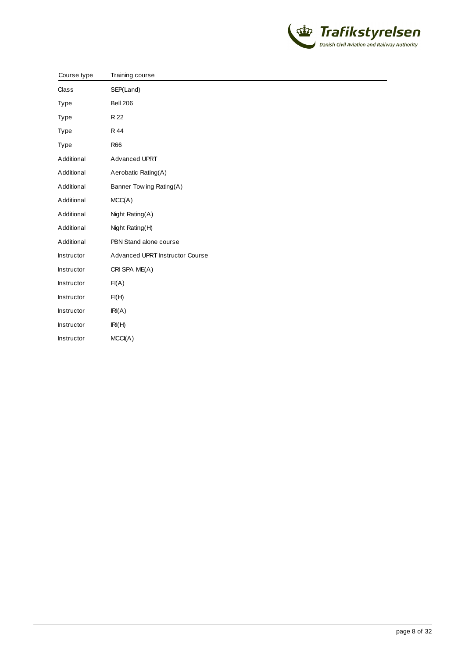

| Course type       | Training course                 |
|-------------------|---------------------------------|
| Class             | SEP(Land)                       |
| Type              | <b>Bell 206</b>                 |
| Type              | R 22                            |
| Type              | R 44                            |
| Type              | <b>R66</b>                      |
| Additional        | Advanced UPRT                   |
| Additional        | Aerobatic Rating(A)             |
| Additional        | Banner Tow ing Rating(A)        |
| Additional        | MCC(A)                          |
| Additional        | Night Rating(A)                 |
| Additional        | Night Rating(H)                 |
| Additional        | PBN Stand alone course          |
| <b>Instructor</b> | Advanced UPRT Instructor Course |
| Instructor        | CRI SPA ME(A)                   |
| Instructor        | FI(A)                           |
| Instructor        | FI(H)                           |
| Instructor        | IRI(A)                          |
| Instructor        | IRI(H)                          |
| <b>Instructor</b> | MCCI(A)                         |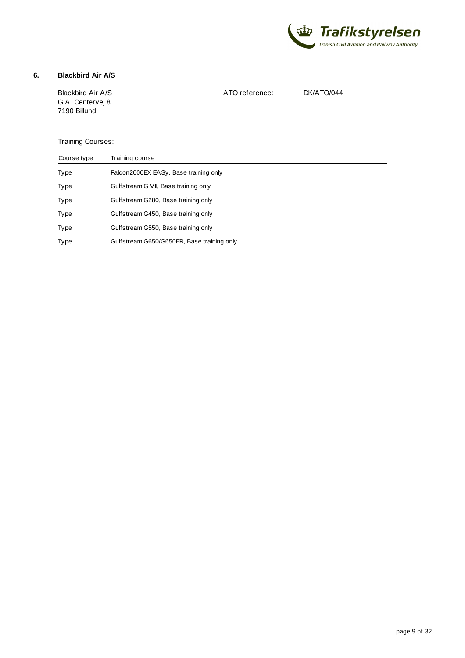

# <span id="page-8-0"></span>**6. Blackbird Air A/S**

Blackbird Air A/S G.A. Centervej 8 7190 Billund

ATO reference: DK/ATO/044

| Course type | Training course                            |
|-------------|--------------------------------------------|
| Type        | Falcon2000EX EASy, Base training only      |
| Type        | Gulfstream G VII, Base training only       |
| Type        | Gulfstream G280, Base training only        |
| Type        | Gulfstream G450, Base training only        |
| Type        | Gulfstream G550, Base training only        |
| Type        | Gulfstream G650/G650ER, Base training only |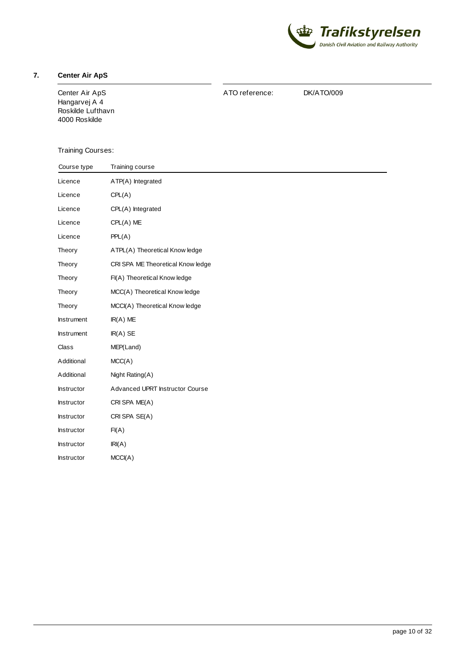

### <span id="page-9-0"></span>**7. Center Air ApS**

Center Air ApS Hangarvej A 4 Roskilde Lufthavn 4000 Roskilde

ATO reference: DK/ATO/009

| Course type       | Training course                   |
|-------------------|-----------------------------------|
| Licence           | ATP(A) Integrated                 |
| Licence           | CPL(A)                            |
| Licence           | CPL(A) Integrated                 |
| Licence           | $CPL(A)$ ME                       |
| Licence           | PPL(A)                            |
| Theory            | ATPL(A) Theoretical Know ledge    |
| Theory            | CRI SPA ME Theoretical Know ledge |
| Theory            | FI(A) Theoretical Know ledge      |
| Theory            | MCC(A) Theoretical Know ledge     |
| Theory            | MCCI(A) Theoretical Know ledge    |
| <b>Instrument</b> | $IR(A)$ ME                        |
| <b>Instrument</b> | $IR(A)$ SE                        |
| Class             | MEP(Land)                         |
| Additional        | MCC(A)                            |
| Additional        | Night Rating(A)                   |
| Instructor        | Advanced UPRT Instructor Course   |
| Instructor        | CRI SPA ME(A)                     |
| Instructor        | CRI SPA SE(A)                     |
| Instructor        | FI(A)                             |
| Instructor        | IRI(A)                            |
| <b>Instructor</b> | MCCI(A)                           |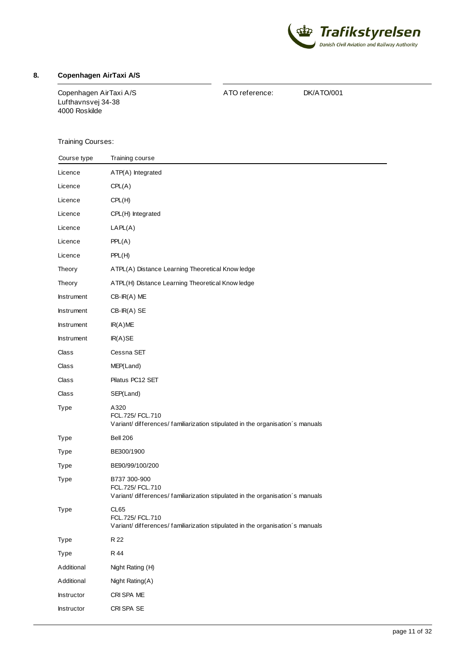

## <span id="page-10-0"></span>**8. Copenhagen AirTaxi A/S**

Copenhagen AirTaxi A/S Lufthavnsvej 34-38 4000 Roskilde

ATO reference: DK/ATO/001

| Course type       | Training course                                                                                                  |
|-------------------|------------------------------------------------------------------------------------------------------------------|
| Licence           | ATP(A) Integrated                                                                                                |
| Licence           | CPL(A)                                                                                                           |
| Licence           | CPL(H)                                                                                                           |
| Licence           | CPL(H) Integrated                                                                                                |
| Licence           | LAPL(A)                                                                                                          |
| Licence           | PPL(A)                                                                                                           |
| Licence           | PPL(H)                                                                                                           |
| Theory            | ATPL(A) Distance Learning Theoretical Know ledge                                                                 |
| Theory            | ATPL(H) Distance Learning Theoretical Know ledge                                                                 |
| Instrument        | $CB$ -IR $(A)$ ME                                                                                                |
| <b>Instrument</b> | $CB-IR(A) SE$                                                                                                    |
| <b>Instrument</b> | IR(A)ME                                                                                                          |
| <b>Instrument</b> | IR(A)SE                                                                                                          |
| Class             | Cessna SET                                                                                                       |
| Class             | MEP(Land)                                                                                                        |
| Class             | Pilatus PC12 SET                                                                                                 |
| Class             | SEP(Land)                                                                                                        |
| Type              | A320<br>FCL.725/ FCL.710<br>Variant/differences/familiarization stipulated in the organisation's manuals         |
| Type              | <b>Bell 206</b>                                                                                                  |
| Type              | BE300/1900                                                                                                       |
| Type              | BE90/99/100/200                                                                                                  |
| Type              | B737 300-900<br>FCL.725/ FCL.710<br>Variant/differences/familiarization stipulated in the organisation's manuals |
| Type              | CL65<br>FCL.725/ FCL.710<br>Variant/differences/familiarization stipulated in the organisation's manuals         |
| Type              | R 22                                                                                                             |
| Type              | R 44                                                                                                             |
| Additional        | Night Rating (H)                                                                                                 |
| Additional        | Night Rating(A)                                                                                                  |
| Instructor        | CRI SPA ME                                                                                                       |
| Instructor        | CRI SPA SE                                                                                                       |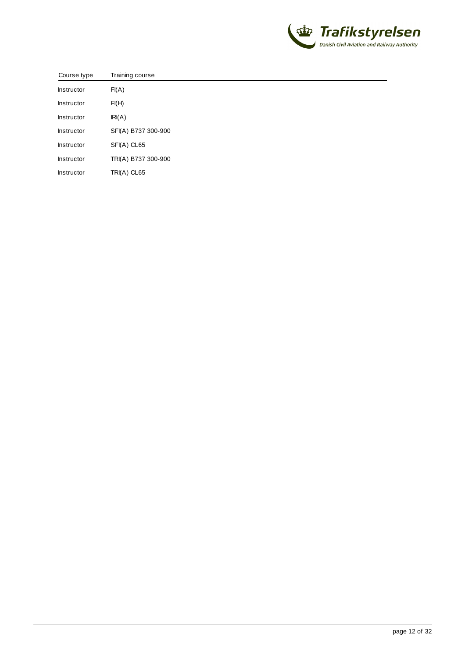

| Course type       | Training course     |
|-------------------|---------------------|
| Instructor        | FI(A)               |
| <b>Instructor</b> | FI(H)               |
| <b>Instructor</b> | IRI(A)              |
| Instructor        | SFI(A) B737 300-900 |
| Instructor        | SFI(A) CL65         |
| Instructor        | TRI(A) B737 300-900 |
| Instructor        | TRI(A) CL65         |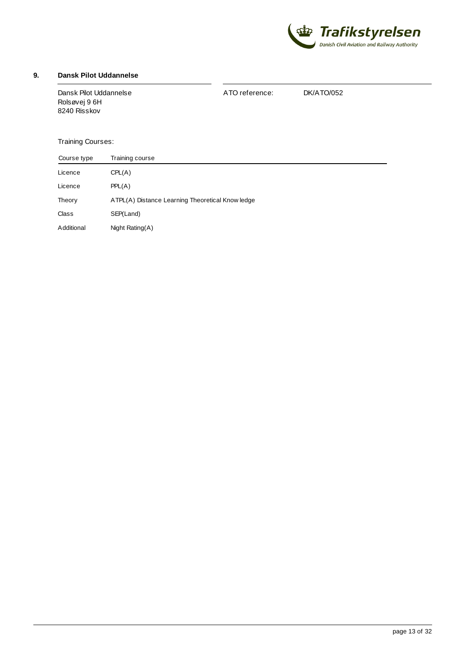

## <span id="page-12-0"></span>**9. Dansk Pilot Uddannelse**

| Dansk Pilot Uddannelse | ATO reference: | DK/ATO/052 |
|------------------------|----------------|------------|
| Rolsøvei 9 6H          |                |            |
| 8240 Risskov           |                |            |
|                        |                |            |

| Course type  | Training course                                  |  |
|--------------|--------------------------------------------------|--|
| Licence      | CPL(A)                                           |  |
| Licence      | PPL(A)                                           |  |
| Theory       | ATPL(A) Distance Learning Theoretical Know ledge |  |
| <b>Class</b> | SEP(Land)                                        |  |
| Additional   | Night Rating(A)                                  |  |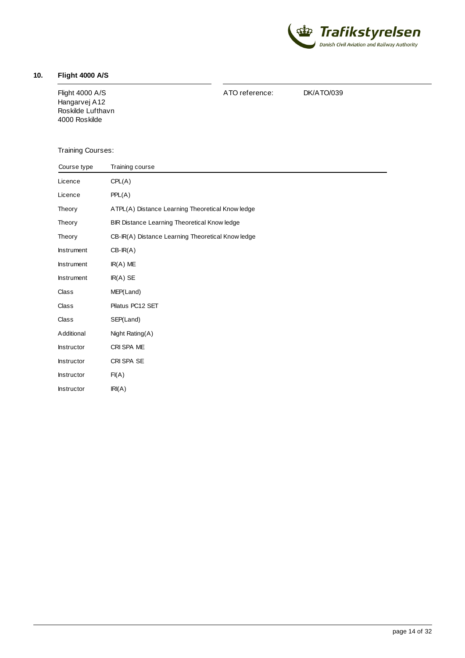

### <span id="page-13-0"></span>**10. Flight 4000 A/S**

Flight 4000 A/S Hangarvej A12 Roskilde Lufthavn 4000 Roskilde

ATO reference: DK/ATO/039

| Course type       | Training course                                   |
|-------------------|---------------------------------------------------|
| Licence           | CPL(A)                                            |
| Licence           | PPL(A)                                            |
| Theory            | ATPL(A) Distance Learning Theoretical Know ledge  |
| Theory            | BIR Distance Learning Theoretical Know ledge      |
| Theory            | CB-IR(A) Distance Learning Theoretical Know ledge |
| Instrument        | $CB-IR(A)$                                        |
| Instrument        | $IR(A)$ ME                                        |
| Instrument        | $IR(A)$ SE                                        |
| Class             | MEP(Land)                                         |
| Class             | Pilatus PC12 SET                                  |
| Class             | SEP(Land)                                         |
| Additional        | Night Rating(A)                                   |
| <b>Instructor</b> | CRI SPA ME                                        |
| Instructor        | CRI SPA SE                                        |
| <b>Instructor</b> | FI(A)                                             |
| Instructor        | IRI(A)                                            |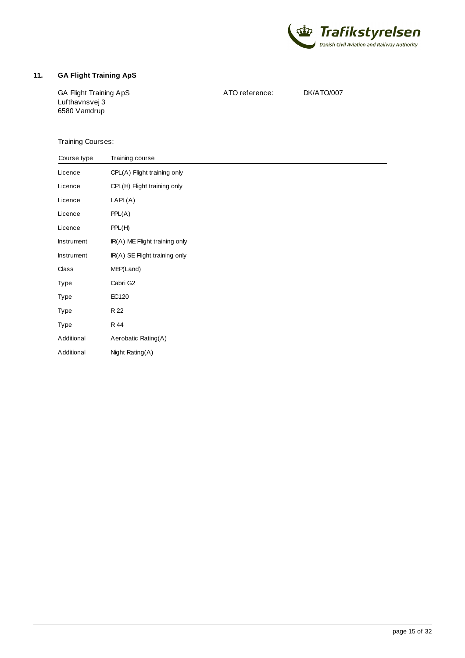

# <span id="page-14-0"></span>**11. GA Flight Training ApS**

GA Flight Training ApS Lufthavnsvej 3 6580 Vamdrup

ATO reference: DK/ATO/007

| Course type | Training course               |
|-------------|-------------------------------|
| Licence     | CPL(A) Flight training only   |
| Licence     | CPL(H) Flight training only   |
| Licence     | LAPL(A)                       |
| Licence     | PPL(A)                        |
| Licence     | PPL(H)                        |
| Instrument  | IR(A) ME Flight training only |
| Instrument  | IR(A) SE Flight training only |
| Class       | MEP(Land)                     |
| Type        | Cabri G2                      |
| Type        | EC120                         |
| Type        | R 22                          |
| Type        | R 44                          |
| Additional  | Aerobatic Rating(A)           |
| Additional  | Night Rating(A)               |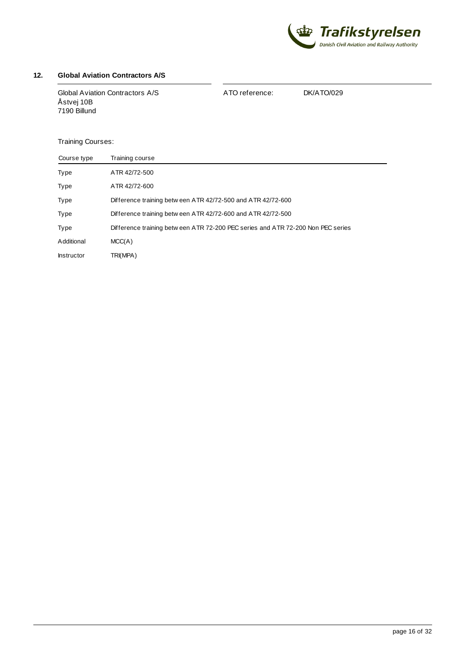

# <span id="page-15-0"></span>**12. Global Aviation Contractors A/S**

| Global Aviation Contractors A/S<br>Åstvej 10B<br>7190 Billund | ATO reference: | DK/ATO/029 |
|---------------------------------------------------------------|----------------|------------|
|                                                               |                |            |

| Course type       | Training course                                                                  |
|-------------------|----------------------------------------------------------------------------------|
| Type              | ATR 42/72-500                                                                    |
| Type              | ATR 42/72-600                                                                    |
| Type              | Difference training betw een ATR 42/72-500 and ATR 42/72-600                     |
| Type              | Difference training betw een ATR 42/72-600 and ATR 42/72-500                     |
| Type              | Difference training betw een ATR 72-200 PEC series and ATR 72-200 Non PEC series |
| Additional        | MCC(A)                                                                           |
| <b>Instructor</b> | TRI(MPA)                                                                         |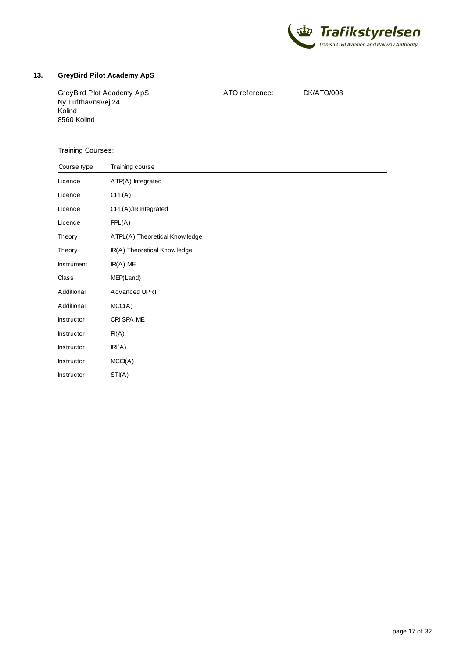

#### <span id="page-16-0"></span>**13. GreyBird Pilot Academy ApS**

GreyBird Pilot Academy ApS Ny Lufthavnsvej 24 Kolind 8560 Kolind

ATO reference: DK/ATO/008

| Course type | Training course                |
|-------------|--------------------------------|
| Licence     | ATP(A) Integrated              |
| Licence     | CPL(A)                         |
| Licence     | CPL(A)/IR Integrated           |
| Licence     | PPL(A)                         |
| Theory      | ATPL(A) Theoretical Know ledge |
| Theory      | IR(A) Theoretical Know ledge   |
| Instrument  | $IR(A)$ ME                     |
| Class       | MEP(Land)                      |
| Additional  | Advanced UPRT                  |
| Additional  | MCC(A)                         |
| Instructor  | CRI SPA ME                     |
| Instructor  | FI(A)                          |
| Instructor  | IRI(A)                         |
| Instructor  | MCCI(A)                        |
| Instructor  | STI(A)                         |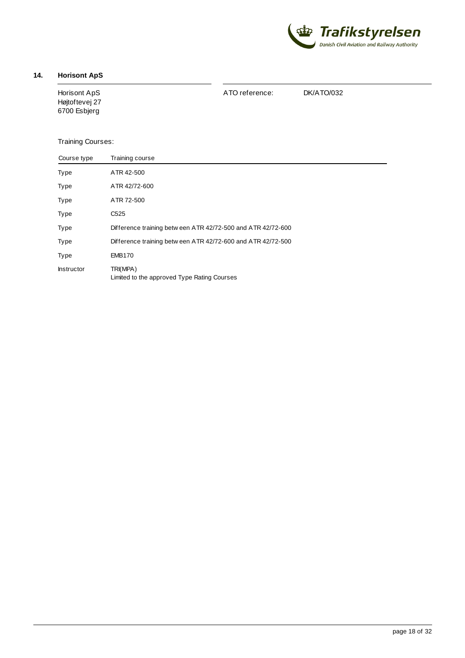

## <span id="page-17-0"></span>**14. Horisont ApS**

Horisont ApS Højtoftevej 27 6700 Esbjerg

ATO reference: DK/ATO/032

| Course type       | Training course                                              |
|-------------------|--------------------------------------------------------------|
| Type              | ATR 42-500                                                   |
| Type              | ATR 42/72-600                                                |
| Type              | ATR 72-500                                                   |
| Type              | C <sub>525</sub>                                             |
| Type              | Difference training betw een ATR 42/72-500 and ATR 42/72-600 |
| Type              | Difference training betw een ATR 42/72-600 and ATR 42/72-500 |
| Type              | <b>EMB170</b>                                                |
| <b>Instructor</b> | TRI(MPA)<br>Limited to the approved Type Rating Courses      |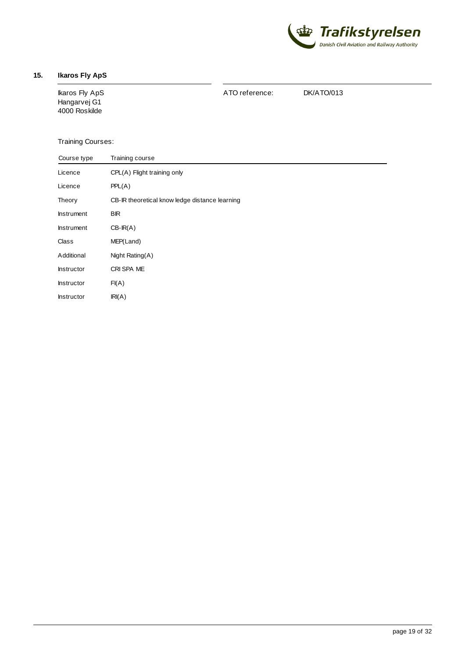

## <span id="page-18-0"></span>**15. Ikaros Fly ApS**

Ikaros Fly ApS Hangarvej G1 4000 Roskilde

ATO reference: DK/ATO/013

| Course type       | Training course                                |
|-------------------|------------------------------------------------|
| Licence           | CPL(A) Flight training only                    |
| Licence           | PPL(A)                                         |
| Theory            | CB-IR theoretical know ledge distance learning |
| <b>Instrument</b> | <b>BIR</b>                                     |
| <b>Instrument</b> | $CB-IR(A)$                                     |
| Class             | MEP(Land)                                      |
| Additional        | Night Rating(A)                                |
| <b>Instructor</b> | CRI SPA ME                                     |
| <b>Instructor</b> | FI(A)                                          |
| <b>Instructor</b> | IRI(A)                                         |
|                   |                                                |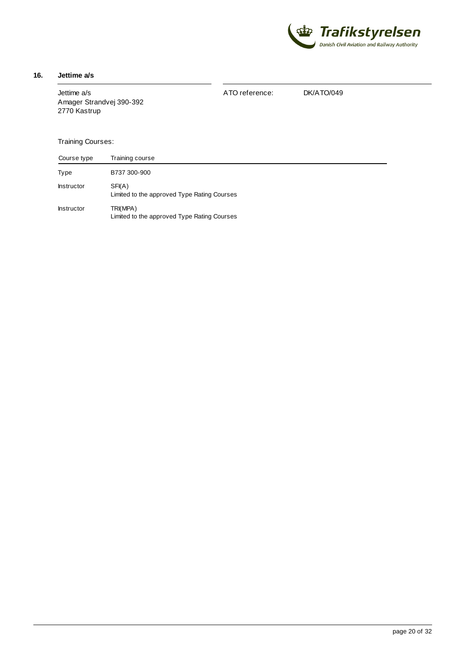

#### <span id="page-19-0"></span>**16. Jettime a/s**

Jettime a/s Amager Strandvej 390-392 2770 Kastrup

ATO reference: DK/ATO/049

| Course type       | Training course                                         |
|-------------------|---------------------------------------------------------|
| Type              | B737 300-900                                            |
| <b>Instructor</b> | SFI(A)<br>Limited to the approved Type Rating Courses   |
| <b>Instructor</b> | TRI(MPA)<br>Limited to the approved Type Rating Courses |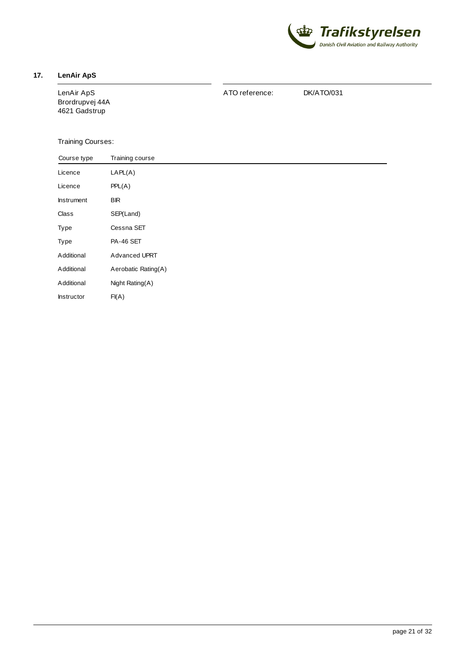

### <span id="page-20-0"></span>**17. LenAir ApS**

LenAir ApS Brordrupvej 44A 4621 Gadstrup

ATO reference: DK/ATO/031

| Course type       | Training course     |  |
|-------------------|---------------------|--|
| Licence           | LAPL(A)             |  |
| Licence           | PPL(A)              |  |
| <b>Instrument</b> | <b>BIR</b>          |  |
| Class             | SEP(Land)           |  |
| Type              | Cessna SET          |  |
| Type              | <b>PA-46 SET</b>    |  |
| Additional        | Advanced UPRT       |  |
| Additional        | Aerobatic Rating(A) |  |
| Additional        | Night Rating(A)     |  |
| Instructor        | FI(A)               |  |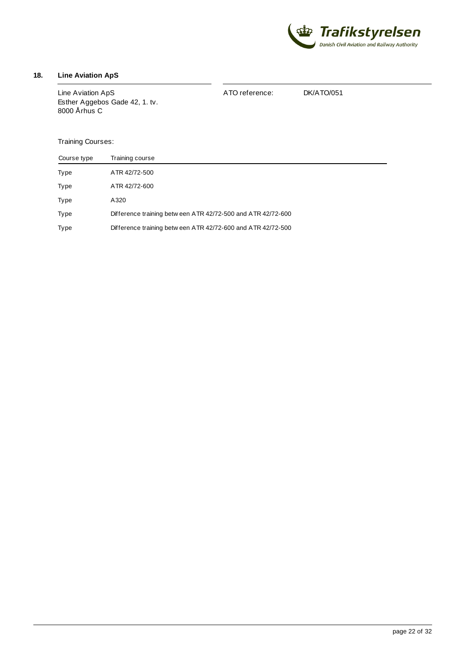

# <span id="page-21-0"></span>**18. Line Aviation ApS**

| Line Aviation ApS<br>Esther Aggebos Gade 42, 1. tv.<br>8000 Århus C | ATO reference: | DK/ATO/051 |
|---------------------------------------------------------------------|----------------|------------|
|                                                                     |                |            |

| Course type | Training course                                              |
|-------------|--------------------------------------------------------------|
| Type        | ATR 42/72-500                                                |
| Type        | ATR 42/72-600                                                |
| Type        | A320                                                         |
| Type        | Difference training betw een ATR 42/72-500 and ATR 42/72-600 |
| Type        | Difference training betw een ATR 42/72-600 and ATR 42/72-500 |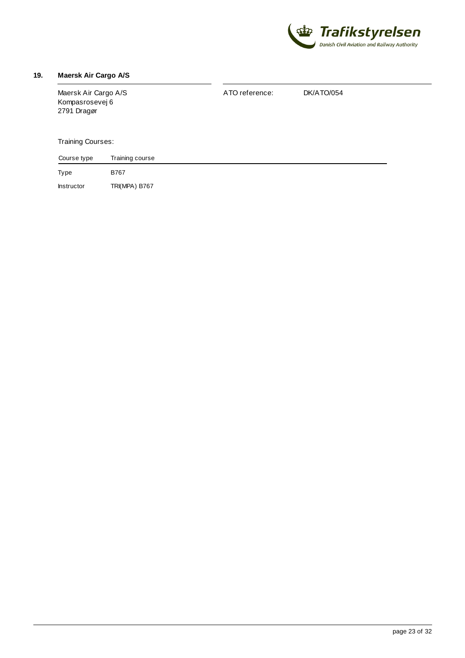

#### <span id="page-22-0"></span>**19. Maersk Air Cargo A/S**

Type Maersk Air Cargo A/S Kompasrosevej 6 2791 Dragør Training Courses: Training course B767 ATO reference: DK/ATO/054 Course type

Instructor TRI(MPA) B767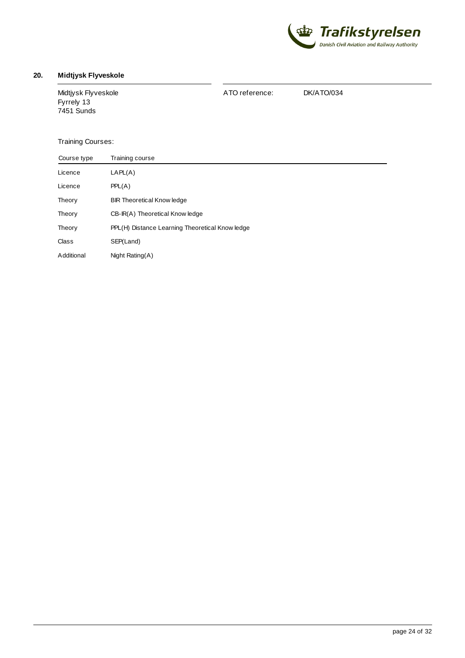

# <span id="page-23-0"></span>**20. Midtjysk Flyveskole**

Midtjysk Flyveskole Fyrrely 13 7451 Sunds

ATO reference: DK/ATO/034

| Course type | Training course                                 |
|-------------|-------------------------------------------------|
| Licence     | LAPL(A)                                         |
| Licence     | PPL(A)                                          |
| Theory      | <b>BIR Theoretical Know ledge</b>               |
| Theory      | CB-IR(A) Theoretical Know ledge                 |
| Theory      | PPL(H) Distance Learning Theoretical Know ledge |
| Class       | SEP(Land)                                       |
| Additional  | Night Rating(A)                                 |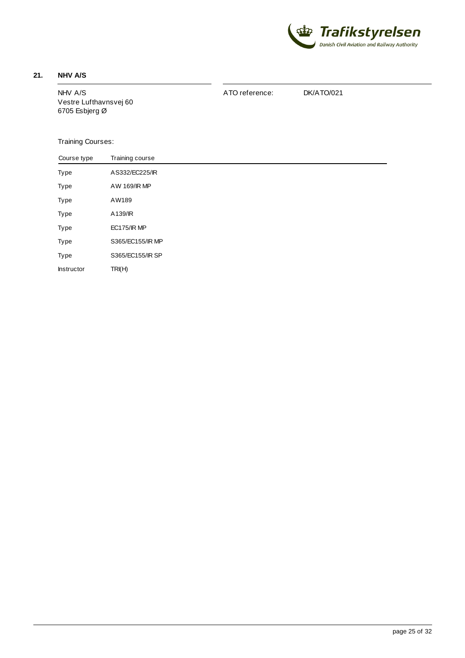

# <span id="page-24-0"></span>**21. NHV A/S**

NHV A/S Vestre Lufthavnsvej 60 6705 Esbjerg Ø

ATO reference: DK/ATO/021

| Course type | Training course    |
|-------------|--------------------|
| Type        | A S332/EC225/IR    |
| Type        | AW 169/IR MP       |
| Type        | AW189              |
| Type        | A139/IR            |
| Type        | <b>EC175/IR MP</b> |
| Type        | S365/EC155/IR MP   |
| Type        | S365/EC155/IR SP   |
| Instructor  | TRI(H)             |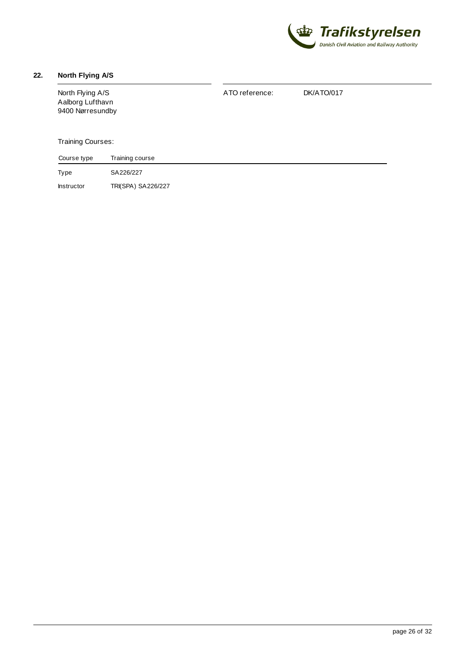

### <span id="page-25-0"></span>**22. North Flying A/S**

North Flying A/S Aalborg Lufthavn 9400 Nørresundby Training Courses: Training course ATO reference: DK/ATO/017 Course type

Type Instructor SA226/227 TRI(SPA) SA226/227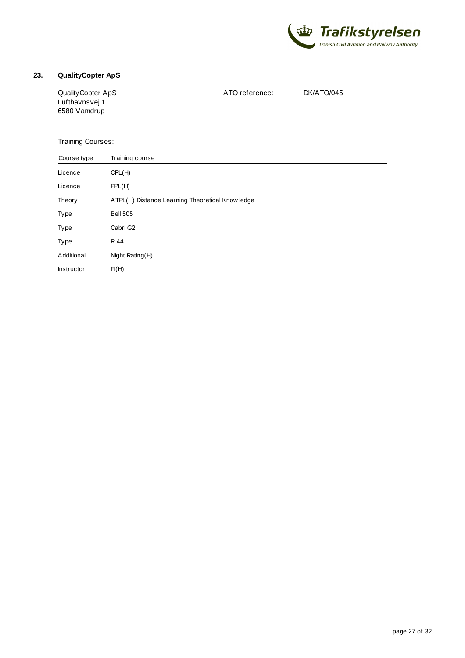

### <span id="page-26-0"></span>**23. QualityCopter ApS**

QualityCopter ApS Lufthavnsvej 1 6580 Vamdrup

ATO reference: DK/ATO/045

| Course type | Training course                                  |  |  |
|-------------|--------------------------------------------------|--|--|
| Licence     | CPL(H)                                           |  |  |
| Licence     | PPL(H)                                           |  |  |
| Theory      | ATPL(H) Distance Learning Theoretical Know ledge |  |  |
| Type        | <b>Bell 505</b>                                  |  |  |
| Type        | Cabri G2                                         |  |  |
| Type        | R 44                                             |  |  |
| Additional  | Night Rating(H)                                  |  |  |
| Instructor  | FI(H)                                            |  |  |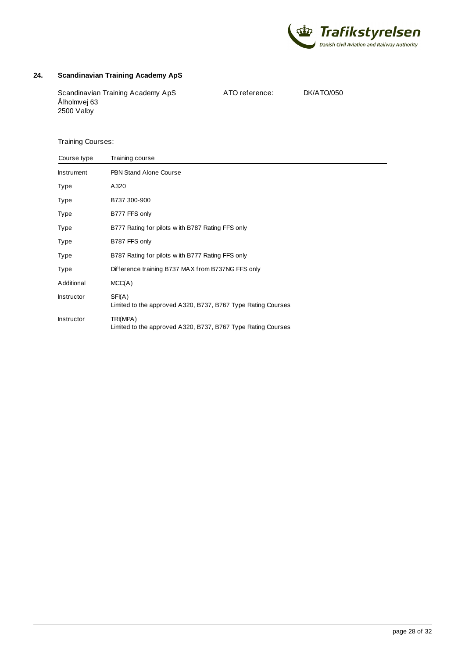

#### <span id="page-27-0"></span>**24. Scandinavian Training Academy ApS**

Scandinavian Training Academy ApS Ålholmvej 63 2500 Valby

ATO reference: DK/ATO/050

| Course type       | Training course                                                          |
|-------------------|--------------------------------------------------------------------------|
| <b>Instrument</b> | <b>PBN Stand Alone Course</b>                                            |
| Type              | A320                                                                     |
| Type              | B737 300-900                                                             |
| Type              | B777 FFS only                                                            |
| Type              | B777 Rating for pilots w ith B787 Rating FFS only                        |
| Type              | B787 FFS only                                                            |
| Type              | B787 Rating for pilots with B777 Rating FFS only                         |
| Type              | Difference training B737 MAX from B737NG FFS only                        |
| Additional        | MCC(A)                                                                   |
| <b>Instructor</b> | SFI(A)<br>Limited to the approved A320, B737, B767 Type Rating Courses   |
| <b>Instructor</b> | TRI(MPA)<br>Limited to the approved A320, B737, B767 Type Rating Courses |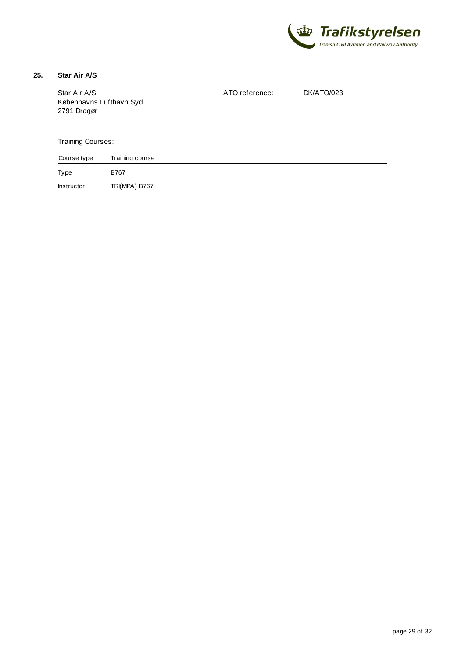

# <span id="page-28-0"></span>**25. Star Air A/S**

Type Star Air A/S Københavns Lufthavn Syd 2791 Dragør Training Courses: Training course B767 ATO reference: DK/ATO/023 Course type

Instructor TRI(MPA) B767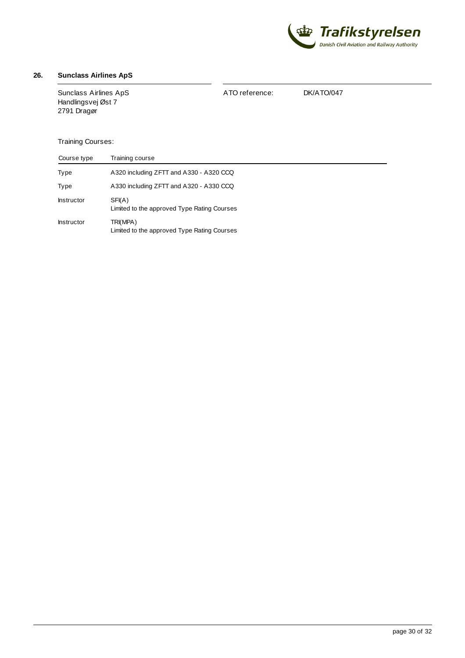

#### <span id="page-29-0"></span>**26. Sunclass Airlines ApS**

Sunclass Airlines ApS Handlingsvej Øst 7 2791 Dragør

ATO reference: DK/ATO/047

| Course type       | Training course                                         |  |
|-------------------|---------------------------------------------------------|--|
| Type              | A320 including ZFTT and A330 - A320 CCQ                 |  |
| Type              | A330 including ZFTT and A320 - A330 CCQ                 |  |
| <b>Instructor</b> | SFI(A)<br>Limited to the approved Type Rating Courses   |  |
| <b>Instructor</b> | TRI(MPA)<br>Limited to the approved Type Rating Courses |  |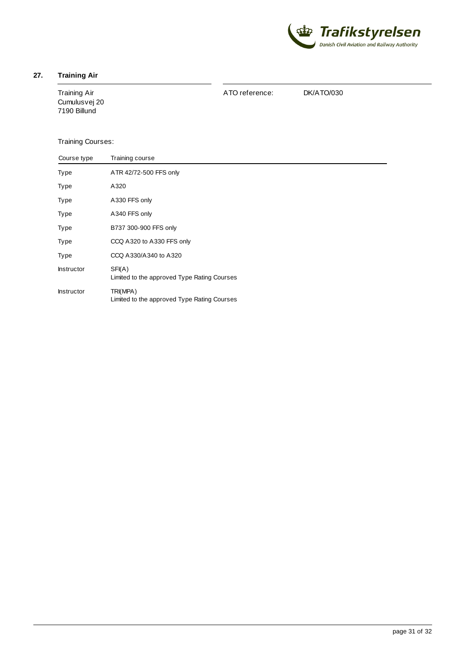

#### <span id="page-30-0"></span>**27. Training Air**

Training Air Cumulusvej 20 7190 Billund

ATO reference: DK/ATO/030

| Course type       | Training course                                         |
|-------------------|---------------------------------------------------------|
| Type              | ATR 42/72-500 FFS only                                  |
| Type              | A320                                                    |
| Type              | A330 FFS only                                           |
| Type              | A340 FFS only                                           |
| Type              | B737 300-900 FFS only                                   |
| Type              | CCQ A320 to A330 FFS only                               |
| Type              | CCQ A330/A340 to A320                                   |
| <b>Instructor</b> | SFI(A)<br>Limited to the approved Type Rating Courses   |
| <b>Instructor</b> | TRI(MPA)<br>Limited to the approved Type Rating Courses |